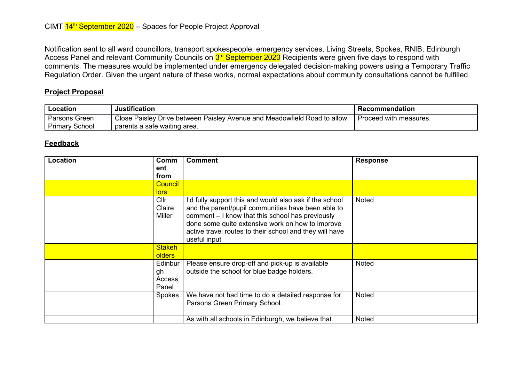Notification sent to all ward councillors, transport spokespeople, emergency services, Living Streets, Spokes, RNIB, Edinburgh Access Panel and relevant Community Councils on <mark>3<sup>rd</sup> September 2020</mark> Recipients were given five days to respond with comments. The measures would be implemented under emergency delegated decision-making powers using a Temporary Traffic Regulation Order. Given the urgent nature of these works, normal expectations about community consultations cannot be fulfilled.

## **Project Proposal**

| Location              | Justification                                                            | Recommendation         |
|-----------------------|--------------------------------------------------------------------------|------------------------|
| Parsons Green         | Close Paisley Drive between Paisley Avenue and Meadowfield Road to allow | Proceed with measures. |
| <b>Primary School</b> | parents a safe waiting area.                                             |                        |

## **Feedback**

| Location | Comm<br>ent<br>from              | <b>Comment</b>                                                                                                                                                                                                                                                                                   | <b>Response</b> |
|----------|----------------------------------|--------------------------------------------------------------------------------------------------------------------------------------------------------------------------------------------------------------------------------------------------------------------------------------------------|-----------------|
|          | Council<br>lors                  |                                                                                                                                                                                                                                                                                                  |                 |
|          | Cllr<br>Claire<br>Miller         | I'd fully support this and would also ask if the school<br>and the parent/pupil communities have been able to<br>comment - I know that this school has previously<br>done some quite extensive work on how to improve<br>active travel routes to their school and they will have<br>useful input | <b>Noted</b>    |
|          | <b>Stakeh</b><br><b>olders</b>   |                                                                                                                                                                                                                                                                                                  |                 |
|          | Edinbur<br>gh<br>Access<br>Panel | Please ensure drop-off and pick-up is available<br>outside the school for blue badge holders.                                                                                                                                                                                                    | <b>Noted</b>    |
|          | Spokes                           | We have not had time to do a detailed response for<br>Parsons Green Primary School.                                                                                                                                                                                                              | <b>Noted</b>    |
|          |                                  | As with all schools in Edinburgh, we believe that                                                                                                                                                                                                                                                | <b>Noted</b>    |